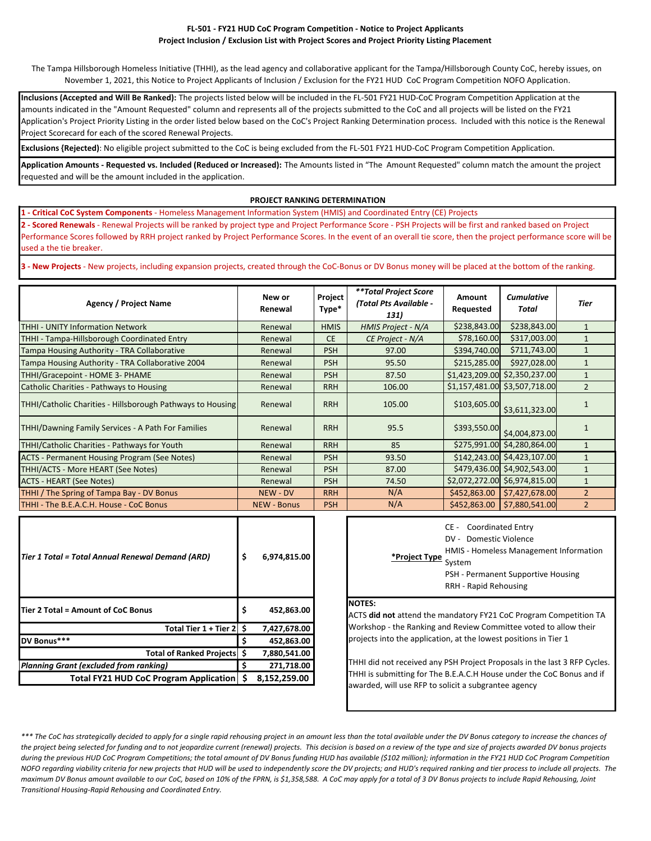### **FL‐501 ‐ FY21 HUD CoC Program Competition ‐ Notice to Project Applicants Project Inclusion / Exclusion List with Project Scores and Project Priority Listing Placement**

The Tampa Hillsborough Homeless Initiative (THHI), as the lead agency and collaborative applicant for the Tampa/Hillsborough County CoC, hereby issues, on November 1, 2021, this Notice to Project Applicants of Inclusion / Exclusion for the FY21 HUD CoC Program Competition NOFO Application.

**Inclusions (Accepted and Will Be Ranked):** The projects listed below will be included in the FL‐501 FY21 HUD‐CoC Program Competition Application at the amounts indicated in the "Amount Requested" column and represents all of the projects submitted to the CoC and all projects will be listed on the FY21 Application's Project Priority Listing in the order listed below based on the CoC's Project Ranking Determination process. Included with this notice is the Renewal Project Scorecard for each of the scored Renewal Projects.

**Exclusions {Rejected)**: No eligible project submitted to the CoC is being excluded from the FL‐501 FY21 HUD‐CoC Program Competition Application.

**Application Amounts ‐ Requested vs. Included (Reduced or Increased):** The Amounts listed in "The Amount Requested" column match the amount the project requested and will be the amount included in the application.

### **PROJECT RANKING DETERMINATION**

**1 ‐ Critical CoC System Components** ‐ Homeless Management Information System (HMIS) and Coordinated Entry (CE) Projects

**2 ‐ Scored Renewals** ‐ Renewal Projects will be ranked by project type and Project Performance Score ‐ PSH Projects will be first and ranked based on Project Performance Scores followed by RRH project ranked by Project Performance Scores. In the event of an overall tie score, then the project performance score will be used a the tie breaker.

**3** - New Projects - New projects, including expansion projects, created through the CoC‐Bonus or DV Bonus money will be placed at the bottom of the ranking.

| Agency / Project Name                                      | New or<br>Renewal  | Project<br>Type* | **Total Project Score<br>(Total Pts Available -<br>131) | Amount<br>Requested | <b>Cumulative</b><br>Total                          | Tier           |
|------------------------------------------------------------|--------------------|------------------|---------------------------------------------------------|---------------------|-----------------------------------------------------|----------------|
| THHI - UNITY Information Network                           | Renewal            | <b>HMIS</b>      | <b>HMIS Project - N/A</b>                               | \$238,843.00        | \$238,843.00                                        | $\mathbf{1}$   |
| THHI - Tampa-Hillsborough Coordinated Entry                | Renewal            | <b>CE</b>        | CE Project - N/A                                        | \$78,160.00         | \$317,003.00                                        |                |
| Tampa Housing Authority - TRA Collaborative                | Renewal            | <b>PSH</b>       | 97.00                                                   | \$394,740.00        | \$711,743.00                                        |                |
| Tampa Housing Authority - TRA Collaborative 2004           | Renewal            | <b>PSH</b>       | 95.50                                                   | \$215,285.00        | \$927,028.00                                        | $\mathbf{1}$   |
| THHI/Gracepoint - HOME 3- PHAME                            | Renewal            | <b>PSH</b>       | 87.50                                                   |                     | \$1,423,209.00 \$2,350,237.00                       | $\mathbf{1}$   |
| Catholic Charities - Pathways to Housing                   | Renewal            | <b>RRH</b>       | 106.00                                                  |                     | \$1,157,481.00 \$3,507,718.00                       | $\overline{2}$ |
| THHI/Catholic Charities - Hillsborough Pathways to Housing | Renewal            | <b>RRH</b>       | 105.00                                                  |                     | $\left  \frac{$103,605.00}{$3,611,323.00} \right $  |                |
| THHI/Dawning Family Services - A Path For Families         | Renewal            | <b>RRH</b>       | 95.5                                                    |                     | $\left  \frac{$393,550.00}{ $4,004,873.00} \right $ |                |
| THHI/Catholic Charities - Pathways for Youth               | Renewal            | <b>RRH</b>       | 85                                                      |                     | \$275,991.00 \$4,280,864.00                         | $\mathbf{1}$   |
| <b>ACTS - Permanent Housing Program (See Notes)</b>        | Renewal            | <b>PSH</b>       | 93.50                                                   |                     | \$142,243.00 \$4,423,107.00                         | $\mathbf{1}$   |
| THHI/ACTS - More HEART (See Notes)                         | Renewal            | <b>PSH</b>       | 87.00                                                   |                     | \$479,436.00 \$4,902,543.00                         | $\mathbf{1}$   |
| <b>ACTS - HEART (See Notes)</b>                            | Renewal            | <b>PSH</b>       | 74.50                                                   |                     | \$2,072,272.00 \$6,974,815.00                       | $\mathbf{1}$   |
| THHI / The Spring of Tampa Bay - DV Bonus                  | <b>NEW - DV</b>    | <b>RRH</b>       | N/A                                                     |                     | $$452,863.00$ $$7,427,678.00$                       | $\overline{2}$ |
| THHI - The B.E.A.C.H. House - CoC Bonus                    | <b>NEW - Bonus</b> | <b>PSH</b>       | N/A                                                     | \$452,863.00        | \$7,880,541.00                                      | $\overline{2}$ |

| Tier 1 Total = Total Annual Renewal Demand (ARD) | \$ | 6,974,815.00 | *Project Type                                           |
|--------------------------------------------------|----|--------------|---------------------------------------------------------|
| Tier 2 Total = Amount of CoC Bonus               | \$ | 452,863.00   | <b>NOTES:</b><br>ACTS did not attend the n              |
| Total Tier 1 + Tier 2 S                          |    | 7,427,678.00 | Workshop - the Ranking a                                |
| DV Bonus***                                      |    | 452,863.00   | projects into the applicati                             |
| Total of Ranked Projects   \$                    |    | 7,880,541.00 |                                                         |
| Planning Grant (excluded from ranking)           |    | 271,718.00   | THHI did not received any                               |
| Total FY21 HUD CoC Program Application           |    | 8,152,259.00 | THHI is submitting for The<br>awarded will use RED to a |

| DV - Domestic Violence<br>HMIS - Homeless Management Information<br>*Project Type System<br>PSH - Permanent Supportive Housing |
|--------------------------------------------------------------------------------------------------------------------------------|
| <b>RRH - Rapid Rehousing</b>                                                                                                   |

### **NOTES:**

ACTS **did not** attend the mandatory FY21 CoC Program Competition TA Workshop ‐ the Ranking and Review Committee voted to allow their projects into the application, at the lowest positions in Tier 1

THHI did not received any PSH Project Proposals in the last 3 RFP Cycles. THHI is submitting for The B.E.A.C.H House under the CoC Bonus and if awarded, will use RFP to solicit a subgrantee agency

\*\*\* The CoC has strategically decided to apply for a single rapid rehousing project in an amount less than the total available under the DV Bonus category to increase the chances of the project being selected for funding and to not jeopardize current (renewal) projects. This decision is based on a review of the type and size of projects awarded DV bonus projects during the previous HUD CoC Program Competitions; the total amount of DV Bonus funding HUD has available (\$102 million); information in the FY21 HUD CoC Program Competition NOFO regarding viability criteria for new projects that HUD will be used to independently score the DV projects; and HUD's required ranking and tier process to include all projects. The maximum DV Bonus amount available to our CoC, based on 10% of the FPRN, is \$1,358,588. A CoC may apply for a total of 3 DV Bonus projects to include Rapid Rehousing, Joint *Transitional Housing‐Rapid Rehousing and Coordinated Entry.*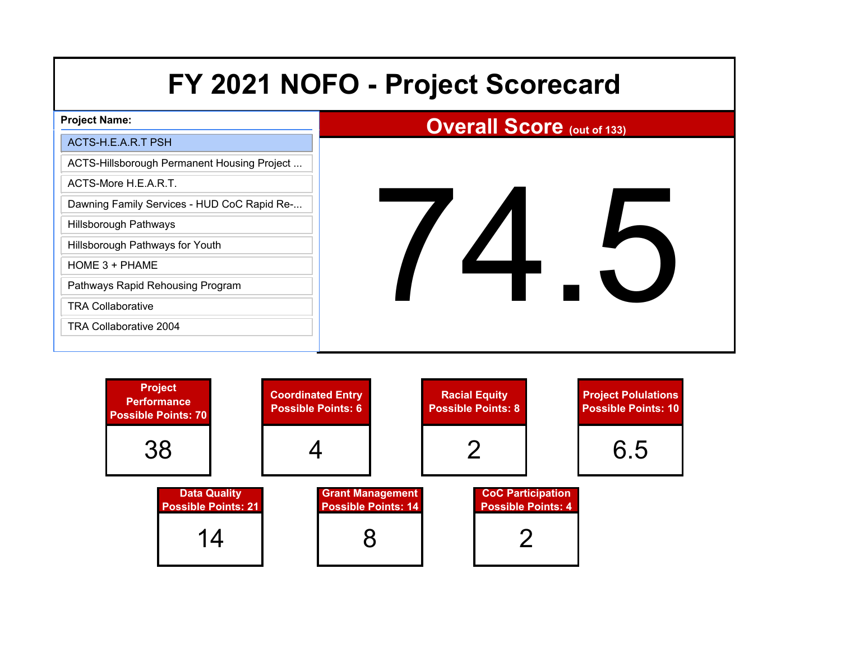| FY 2021 NOFO - Project Scorecard            |                                   |  |  |
|---------------------------------------------|-----------------------------------|--|--|
| <b>Project Name:</b>                        | <b>Overall Score (out of 133)</b> |  |  |
| ACTS-H.E.A.R.T PSH                          |                                   |  |  |
| ACTS-Hillsborough Permanent Housing Project |                                   |  |  |
| ACTS-More H.E.A.R.T.                        |                                   |  |  |
| Dawning Family Services - HUD CoC Rapid Re- |                                   |  |  |
| <b>Hillsborough Pathways</b>                |                                   |  |  |
| Hillsborough Pathways for Youth             |                                   |  |  |
| HOME 3 + PHAME                              |                                   |  |  |
| Pathways Rapid Rehousing Program            |                                   |  |  |
| <b>TRA Collaborative</b>                    |                                   |  |  |
| <b>TRA Collaborative 2004</b>               |                                   |  |  |
|                                             |                                   |  |  |

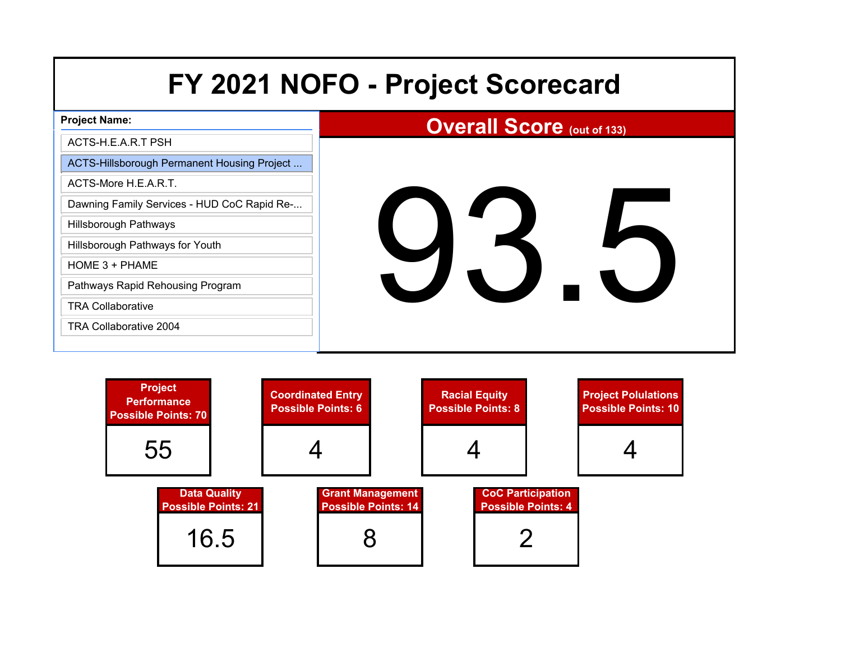| FY 2021 NOFO - Project Scorecard            |                                   |  |  |
|---------------------------------------------|-----------------------------------|--|--|
| <b>Project Name:</b>                        | <b>Overall Score (out of 133)</b> |  |  |
| ACTS-H.E.A.R.T PSH                          |                                   |  |  |
| ACTS-Hillsborough Permanent Housing Project |                                   |  |  |
| ACTS-More H.E.A.R.T.                        |                                   |  |  |
| Dawning Family Services - HUD CoC Rapid Re- |                                   |  |  |
| <b>Hillsborough Pathways</b>                |                                   |  |  |
| Hillsborough Pathways for Youth             | 93                                |  |  |
| HOME 3 + PHAME                              | J.                                |  |  |
| Pathways Rapid Rehousing Program            |                                   |  |  |
| <b>TRA Collaborative</b>                    |                                   |  |  |
| TRA Collaborative 2004                      |                                   |  |  |
|                                             |                                   |  |  |

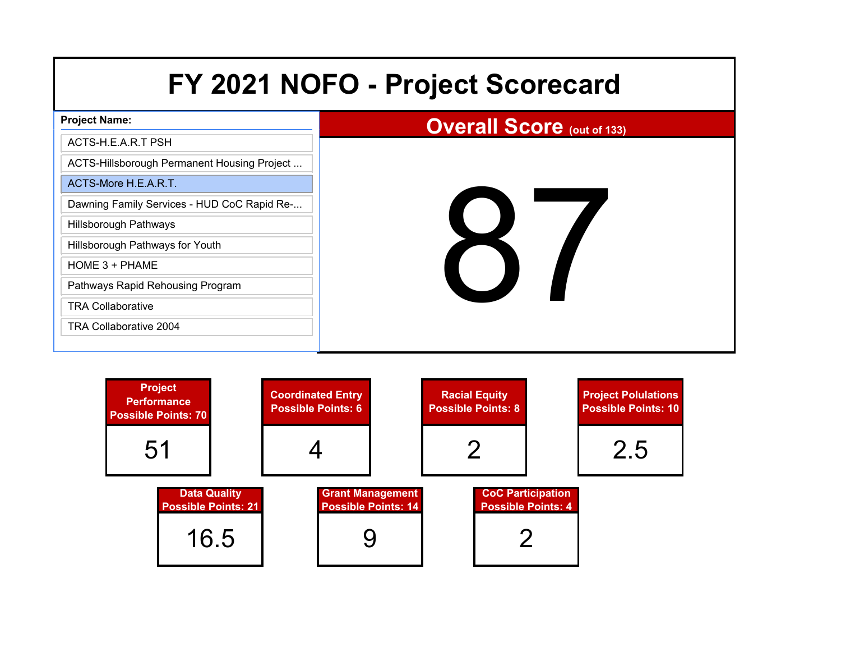| FY 2021 NOFO - Project Scorecard            |                                   |  |
|---------------------------------------------|-----------------------------------|--|
| <b>Project Name:</b>                        | <b>Overall Score (out of 133)</b> |  |
| ACTS-H.E.A.R.T PSH                          |                                   |  |
| ACTS-Hillsborough Permanent Housing Project |                                   |  |
| ACTS-More H.E.A.R.T.                        |                                   |  |
| Dawning Family Services - HUD CoC Rapid Re- |                                   |  |
| <b>Hillsborough Pathways</b>                |                                   |  |
| Hillsborough Pathways for Youth             |                                   |  |
| HOME 3 + PHAME                              |                                   |  |
| Pathways Rapid Rehousing Program            |                                   |  |
| <b>TRA Collaborative</b>                    |                                   |  |
| <b>TRA Collaborative 2004</b>               |                                   |  |
|                                             |                                   |  |

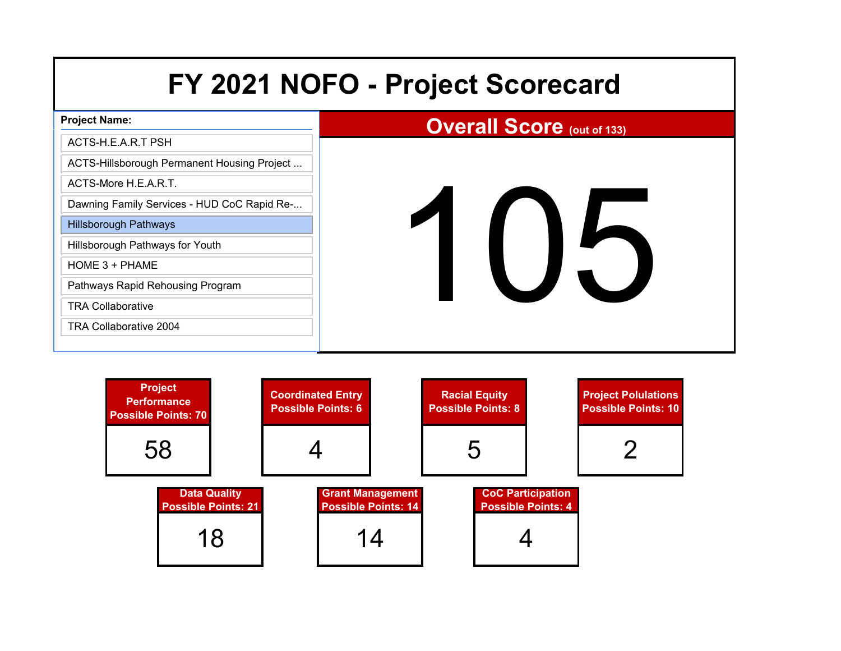# **Project Name:**

## ACTS-H.E.A.R.T PSH

ACTS-Hillsborough Permanent Housing Project ...

ACTS-More H.E.A.R.T.

Dawning Family Services - HUD CoC Rapid Re-...

Hillsborough Pathways

Hillsborough Pathways for Youth

HOME 3 + PHAME

Pathways Rapid Rehousing Program

TRA Collaborative

TRA Collaborative 2004

# **Overall Score (out of 133)**

# 105

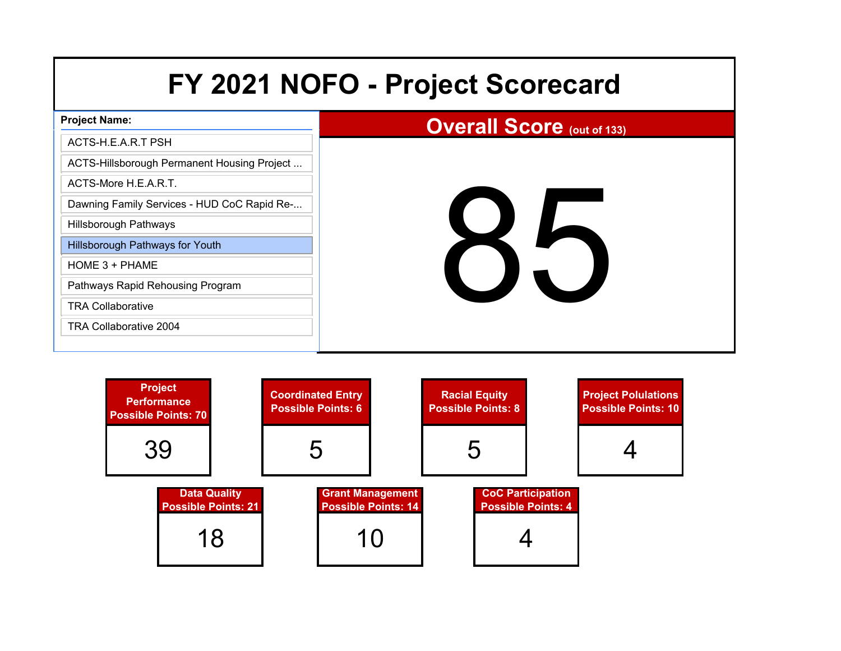| <b>Project Name:</b>                        | <b>Overall Score (out of 133)</b> |
|---------------------------------------------|-----------------------------------|
| ACTS-H.E.A.R.T PSH                          |                                   |
| ACTS-Hillsborough Permanent Housing Project |                                   |
| ACTS-More H.E.A.R.T.                        |                                   |
| Dawning Family Services - HUD CoC Rapid Re- |                                   |
| Hillsborough Pathways                       |                                   |
| <b>Hillsborough Pathways for Youth</b>      |                                   |
| $HOME 3 + PHAME$                            |                                   |
| Pathways Rapid Rehousing Program            | $\blacktriangleright$             |
| <b>TRA Collaborative</b>                    |                                   |
| <b>TRA Collaborative 2004</b>               |                                   |
|                                             |                                   |

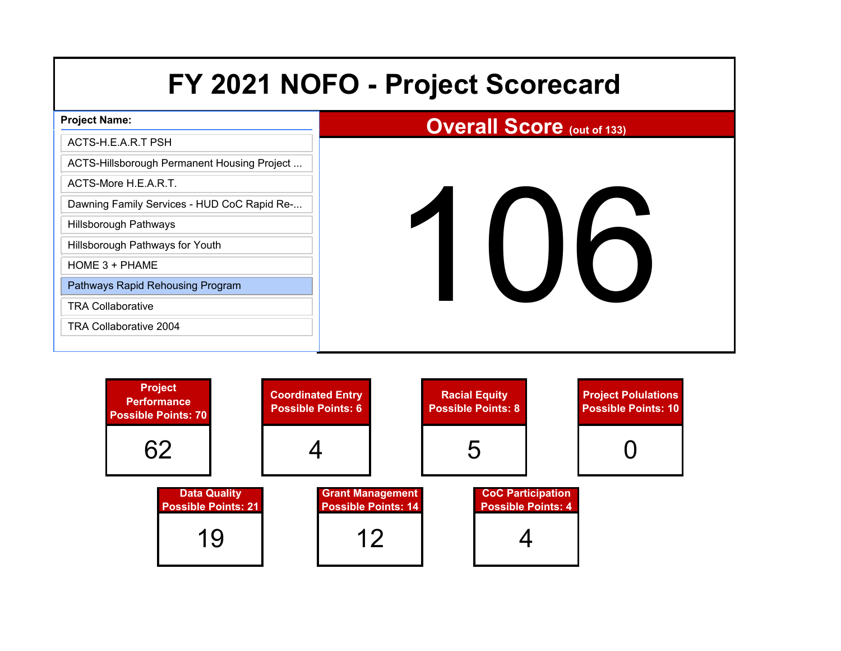# **Project Name:**

## ACTS-H.E.A.R.T PSH

ACTS-Hillsborough Permanent Housing Project ...

ACTS-More H.E.A.R.T.

Dawning Family Services - HUD CoC Rapid Re-...

Hillsborough Pathways

Hillsborough Pathways for Youth

HOME 3 + PHAME

Pathways Rapid Rehousing Program

TRA Collaborative

TRA Collaborative 2004

# **Overall Score (out of 133)**

# 106

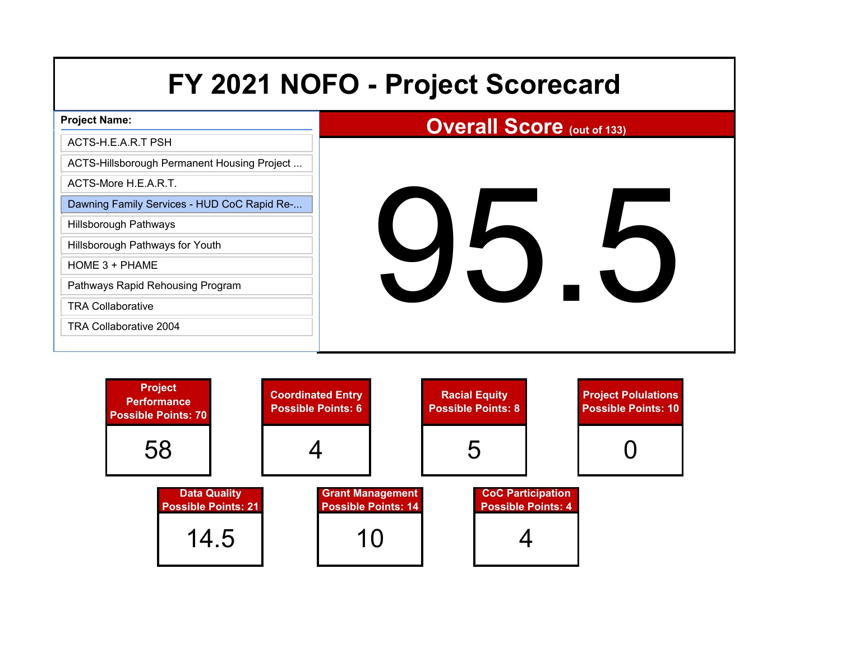| <b>Project Name:</b>                        | <b>Overall Score (out of 133)</b> |
|---------------------------------------------|-----------------------------------|
| ACTS-H.E.A.R.T PSH                          |                                   |
| ACTS-Hillsborough Permanent Housing Project |                                   |
| ACTS-More H.E.A.R.T.                        |                                   |
| Dawning Family Services - HUD CoC Rapid Re- |                                   |
| <b>Hillsborough Pathways</b>                |                                   |
| Hillsborough Pathways for Youth             |                                   |
| HOME 3 + PHAME                              |                                   |
| Pathways Rapid Rehousing Program            | $\overline{\mathcal{L}}$          |
| <b>TRA Collaborative</b>                    |                                   |
| TRA Collaborative 2004                      |                                   |
|                                             |                                   |

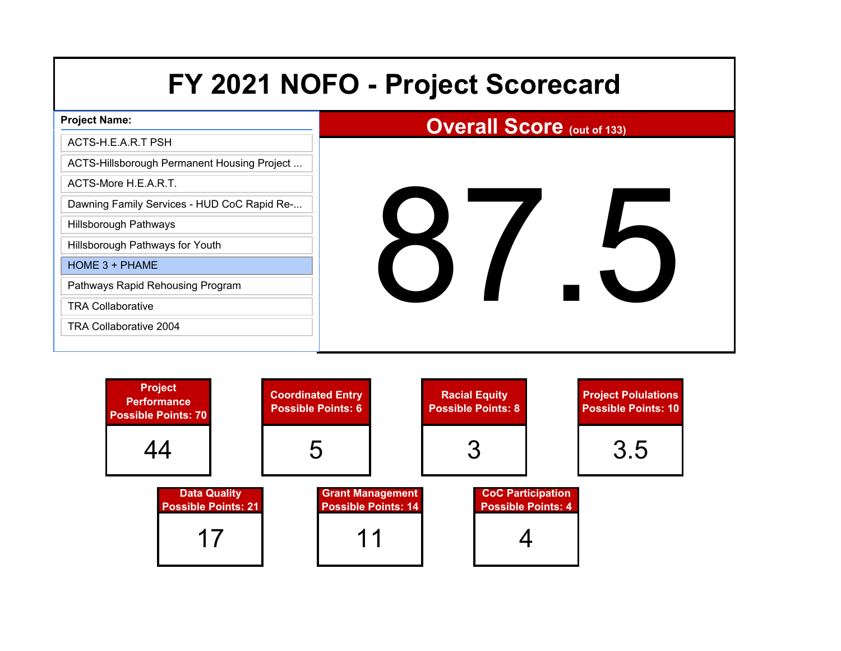|  |  |  | FY 2021 NOFO - Project Scorecard |
|--|--|--|----------------------------------|
|--|--|--|----------------------------------|

| <b>Project Name:</b>                        | <b>Overall Score (out of 133)</b> |
|---------------------------------------------|-----------------------------------|
| ACTS-H.E.A.R.T PSH                          |                                   |
| ACTS-Hillsborough Permanent Housing Project |                                   |
| ACTS-More H.E.A.R.T.                        |                                   |
| Dawning Family Services - HUD CoC Rapid Re- |                                   |
| Hillsborough Pathways                       |                                   |
| Hillsborough Pathways for Youth             |                                   |
| HOME 3 + PHAME                              |                                   |
| Pathways Rapid Rehousing Program            |                                   |
| <b>TRA Collaborative</b>                    |                                   |
| <b>TRA Collaborative 2004</b>               |                                   |
|                                             |                                   |

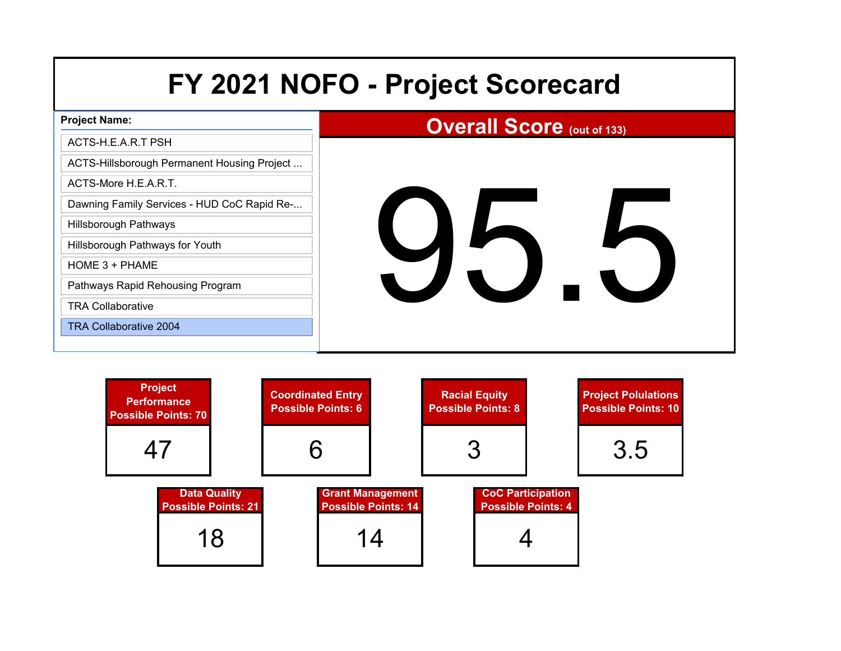# **Project Name:** ACTS-H.E.A.R.T PSHACTS-Hillsborough Permanent Housing Project ...

ACTS-More H.E.A.R.T.

Dawning Family Services - HUD CoC Rapid Re-...

Hillsborough Pathways

Hillsborough Pathways for Youth

HOME 3 + PHAME

Pathways Rapid Rehousing Program

TRA Collaborative

TRA Collaborative 2004

# **Overall Score (out of 133)**

95.5